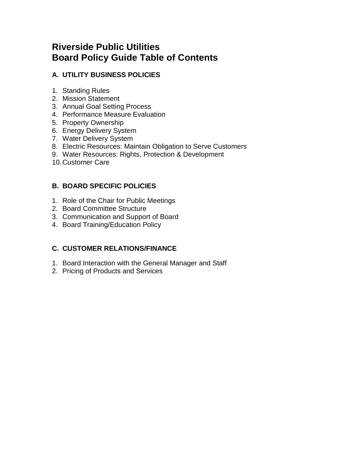## **Riverside Public Utilities Board Policy Guide Table of Contents**

## **A. UTILITY BUSINESS POLICIES**

- 1. Standing Rules
- 2. Mission Statement
- 3. Annual Goal Setting Process
- 4. Performance Measure Evaluation
- 5. Property Ownership
- 6. Energy Delivery System
- 7. Water Delivery System
- 8. Electric Resources: Maintain Obligation to Serve Customers
- 9. Water Resources: Rights, Protection & Development
- 10.Customer Care

### **B. BOARD SPECIFIC POLICIES**

- 1. Role of the Chair for Public Meetings
- 2. Board Committee Structure
- 3. Communication and Support of Board
- 4. Board Training/Education Policy

### **C. CUSTOMER RELATIONS/FINANCE**

- 1. Board Interaction with the General Manager and Staff
- 2. Pricing of Products and Services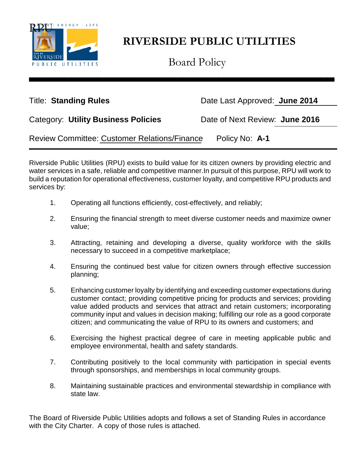

Board Policy

▄▄▄▄▄▄▄▄▄▄▄▄▄▄▄▄▄▄▄▄▄▄▄▄▄▄▄▄▄▄▄▄▄▄▄▄▄▄▄▄▄▄▄▄▄▄▄▄▄▄▄▄▄▄▄▄▄▄▄▄▄▄

Title: **Standing Rules** Date Last Approved: **June 2014** 

| <b>Category: Utility Business Policies</b> |  |  |
|--------------------------------------------|--|--|
|                                            |  |  |

Date of Next Review: **June 2016** 

Review Committee: Customer Relations/Finance Policy No: **A-1**

Riverside Public Utilities (RPU) exists to build value for its citizen owners by providing electric and water services in a safe, reliable and competitive manner.In pursuit of this purpose, RPU will work to build a reputation for operational effectiveness, customer loyalty, and competitive RPU products and services by:

- 1. Operating all functions efficiently, cost-effectively, and reliably;
- 2. Ensuring the financial strength to meet diverse customer needs and maximize owner value;
- 3. Attracting, retaining and developing a diverse, quality workforce with the skills necessary to succeed in a competitive marketplace;
- 4. Ensuring the continued best value for citizen owners through effective succession planning;
- 5. Enhancing customer loyalty by identifying and exceeding customer expectations during customer contact; providing competitive pricing for products and services; providing value added products and services that attract and retain customers; incorporating community input and values in decision making; fulfilling our role as a good corporate citizen; and communicating the value of RPU to its owners and customers; and
- 6. Exercising the highest practical degree of care in meeting applicable public and employee environmental, health and safety standards.
- 7. Contributing positively to the local community with participation in special events through sponsorships, and memberships in local community groups.
- 8. Maintaining sustainable practices and environmental stewardship in compliance with state law.

The Board of Riverside Public Utilities adopts and follows a set of Standing Rules in accordance with the City Charter. A copy of those rules is attached.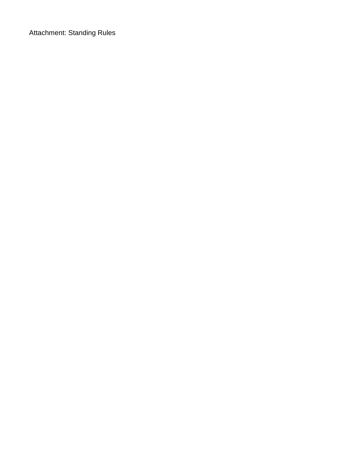Attachment: Standing Rules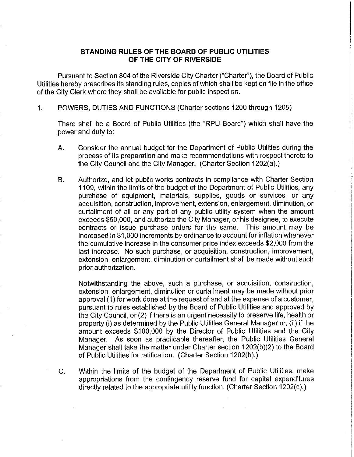### STANDING RULES OF THE BOARD OF PUBLIC UTILITIES OF THE CITY OF RIVERSIDE

Pursuant to Section 804 of the Riverside City Charter ("Charter"), the Board of Public Utilities hereby prescribes its standing rules, copies of which shall be kept on file in the office of the City Clerk where they shall be available for public inspection.

POWERS, DUTIES AND FUNCTIONS (Charter sections 1200 through 1205) 1.

There shall be a Board of Public Utilities (the "RPU Board") which shall have the power and duty to:

- Α. Consider the annual budget for the Department of Public Utilities during the process of its preparation and make recommendations with respect thereto to the City Council and the City Manager. (Charter Section 1202(a).)
- Authorize, and let public works contracts in compliance with Charter Section **B.** 1109, within the limits of the budget of the Department of Public Utilities, any purchase of equipment, materials, supplies, goods or services, or any acquisition, construction, improvement, extension, enlargement, diminution, or curtailment of all or any part of any public utility system when the amount exceeds \$50,000, and authorize the City Manager, or his designee, to execute contracts or issue purchase orders for the same. This amount may be increased in \$1,000 increments by ordinance to account for inflation whenever the cumulative increase in the consumer price index exceeds \$2,000 from the last increase. No such purchase, or acquisition, construction, improvement, extension, enlargement, diminution or curtailment shall be made without such prior authorization.

Notwithstanding the above, such a purchase, or acquisition, construction, extension, enlargement, diminution or curtailment may be made without prior approval (1) for work done at the request of and at the expense of a customer, pursuant to rules established by the Board of Public Utilities and approved by the City Council, or (2) if there is an urgent necessity to preserve life, health or property (i) as determined by the Public Utilities General Manager or, (ii) if the amount exceeds \$100,000 by the Director of Public Utilities and the City Manager. As soon as practicable thereafter, the Public Utilities General Manager shall take the matter under Charter section 1202(b)(2) to the Board of Public Utilities for ratification. (Charter Section 1202(b).)

C. Within the limits of the budget of the Department of Public Utilities, make appropriations from the contingency reserve fund for capital expenditures directly related to the appropriate utility function. (Charter Section 1202(c).)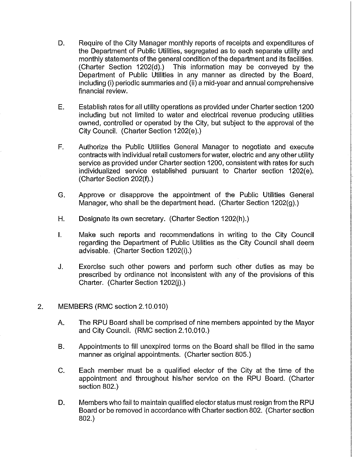- D. Require of the City Manager monthly reports of receipts and expenditures of the Department of Public Utilities, segregated as to each separate utility and monthly statements of the general condition of the department and its facilities. (Charter Section 1202(d).) This information may be conveyed by the Department of Public Utilities in any manner as directed by the Board, including (i) periodic summaries and (ii) a mid-year and annual comprehensive financial review.
- Ε. Establish rates for all utility operations as provided under Charter section 1200 including but not limited to water and electrical revenue producing utilities owned, controlled or operated by the City, but subject to the approval of the City Council. (Charter Section 1202(e).)
- $F_{\perp}$ Authorize the Public Utilities General Manager to negotiate and execute contracts with individual retail customers for water, electric and any other utility service as provided under Charter section 1200, consistent with rates for such individualized service established pursuant to Charter section 1202(e). (Charter Section 202(f).)
- G. Approve or disapprove the appointment of the Public Utilities General Manager, who shall be the department head. (Charter Section 1202(g).)
- Н. Designate its own secretary. (Charter Section 1202(h).)
- $\mathbf{L}$ Make such reports and recommendations in writing to the City Council regarding the Department of Public Utilities as the City Council shall deem advisable. (Charter Section 1202(i).)
- J. Exercise such other powers and perform such other duties as may be prescribed by ordinance not inconsistent with any of the provisions of this Charter. (Charter Section 1202(j).)
- 2. MEMBERS (RMC section 2.10.010)
	- А. The RPU Board shall be comprised of nine members appointed by the Mayor and City Council. (RMC section 2.10.010.)
	- Appointments to fill unexpired terms on the Board shall be filled in the same B. manner as original appointments. (Charter section 805.)
	- $C_{\cdot}$ Each member must be a qualified elector of the City at the time of the appointment and throughout his/her service on the RPU Board. (Charter section 802.)
	- D. Members who fail to maintain qualified elector status must resign from the RPU Board or be removed in accordance with Charter section 802. (Charter section  $802.$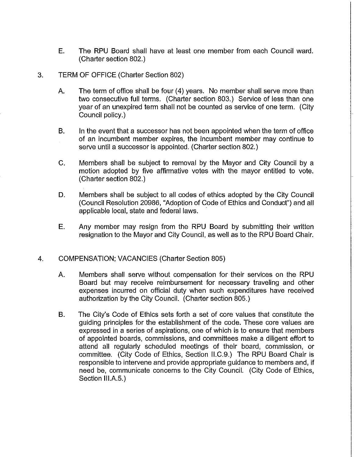E. The RPU Board shall have at least one member from each Council ward. (Charter section 802.)

### 3. **TERM OF OFFICE (Charter Section 802)**

- The term of office shall be four (4) years. No member shall serve more than Α. two consecutive full terms. (Charter section 803.) Service of less than one year of an unexpired term shall not be counted as service of one term. (City Council policy.)
- B. In the event that a successor has not been appointed when the term of office of an incumbent member expires, the incumbent member may continue to serve until a successor is appointed. (Charter section 802.)
- $C_{-}$ Members shall be subject to removal by the Mayor and City Council by a motion adopted by five affirmative votes with the mayor entitled to vote. (Charter section 802.)
- D. Members shall be subject to all codes of ethics adopted by the City Council (Council Resolution 20986, "Adoption of Code of Ethics and Conduct") and all applicable local, state and federal laws.
- E. Any member may resign from the RPU Board by submitting their written resignation to the Mayor and City Council, as well as to the RPU Board Chair.

### **COMPENSATION: VACANCIES (Charter Section 805)**  $\overline{4}$ .

- $A_{-}$ Members shall serve without compensation for their services on the RPU Board but may receive reimbursement for necessary traveling and other expenses incurred on official duty when such expenditures have received authorization by the City Council. (Charter section 805.)
- B. The City's Code of Ethics sets forth a set of core values that constitute the guiding principles for the establishment of the code. These core values are expressed in a series of aspirations, one of which is to ensure that members of appointed boards, commissions, and committees make a diligent effort to attend all regularly scheduled meetings of their board, commission, or committee. (City Code of Ethics, Section II.C.9.) The RPU Board Chair is responsible to intervene and provide appropriate guidance to members and, if need be, communicate concerns to the City Council. (City Code of Ethics, Section III.A.5.)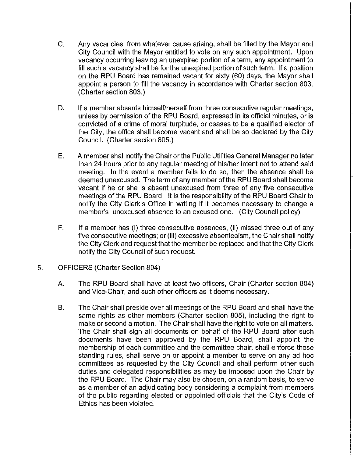- C. Any vacancies, from whatever cause arising, shall be filled by the Mayor and City Council with the Mayor entitled to vote on any such appointment. Upon vacancy occurring leaving an unexpired portion of a term, any appointment to fill such a vacancy shall be for the unexpired portion of such term. If a position on the RPU Board has remained vacant for sixty (60) days, the Mayor shall appoint a person to fill the vacancy in accordance with Charter section 803. (Charter section 803.)
- D. If a member absents himself/herself from three consecutive regular meetings, unless by permission of the RPU Board, expressed in its official minutes, or is convicted of a crime of moral turpitude, or ceases to be a qualified elector of the City, the office shall become vacant and shall be so declared by the City Council. (Charter section 805.)
- E. A member shall notify the Chair or the Public Utilities General Manager no later than 24 hours prior to any regular meeting of his/her intent not to attend said meeting. In the event a member fails to do so, then the absence shall be deemed unexcused. The term of any member of the RPU Board shall become vacant if he or she is absent unexcused from three of any five consecutive meetings of the RPU Board. It is the responsibility of the RPU Board Chair to notify the City Clerk's Office in writing if it becomes necessary to change a member's unexcused absence to an excused one. (City Council policy)
- F. If a member has (i) three consecutive absences, (ii) missed three out of any five consecutive meetings; or (iii) excessive absenteeism, the Chair shall notify the City Clerk and request that the member be replaced and that the City Clerk notify the City Council of such request.
- 5. OFFICERS (Charter Section 804)
	- А. The RPU Board shall have at least two officers, Chair (Charter section 804) and Vice-Chair, and such other officers as it deems necessary.
	- **B.** The Chair shall preside over all meetings of the RPU Board and shall have the same rights as other members (Charter section 805), including the right to make or second a motion. The Chair shall have the right to vote on all matters. The Chair shall sign all documents on behalf of the RPU Board after such documents have been approved by the RPU Board, shall appoint the membership of each committee and the committee chair, shall enforce these standing rules, shall serve on or appoint a member to serve on any ad hoc committees as requested by the City Council and shall perform other such duties and delegated responsibilities as may be imposed upon the Chair by the RPU Board. The Chair may also be chosen, on a random basis, to serve as a member of an adjudicating body considering a complaint from members of the public regarding elected or appointed officials that the City's Code of Ethics has been violated.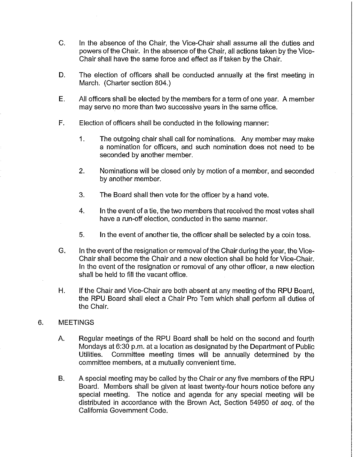- $C<sub>1</sub>$ In the absence of the Chair, the Vice-Chair shall assume all the duties and powers of the Chair. In the absence of the Chair, all actions taken by the Vice-Chair shall have the same force and effect as if taken by the Chair.
- D. The election of officers shall be conducted annually at the first meeting in March. (Charter section 804.)
- E. All officers shall be elected by the members for a term of one year. A member may serve no more than two successive years in the same office.
- Election of officers shall be conducted in the following manner:  $F_{\rm L}$ 
	- 1. The outgoing chair shall call for nominations. Any member may make a nomination for officers, and such nomination does not need to be seconded by another member.
	- 2. Nominations will be closed only by motion of a member, and seconded by another member.
	- 3. The Board shall then vote for the officer by a hand vote.
	- 4. In the event of a tie, the two members that received the most votes shall have a run-off election, conducted in the same manner.
	- 5. In the event of another tie, the officer shall be selected by a coin toss.
- G. In the event of the resignation or removal of the Chair during the year, the Vice-Chair shall become the Chair and a new election shall be held for Vice-Chair. In the event of the resignation or removal of any other officer, a new election shall be held to fill the vacant office.
- Η. If the Chair and Vice-Chair are both absent at any meeting of the RPU Board. the RPU Board shall elect a Chair Pro Tem which shall perform all duties of the Chair.

### 6. **MEETINGS**

- A. Regular meetings of the RPU Board shall be held on the second and fourth Mondays at 6:30 p.m. at a location as designated by the Department of Public Committee meeting times will be annually determined by the Utilities. committee members, at a mutually convenient time.
- **B.** A special meeting may be called by the Chair or any five members of the RPU Board. Members shall be given at least twenty-four hours notice before any special meeting. The notice and agenda for any special meeting will be distributed in accordance with the Brown Act, Section 54950 et seq. of the California Government Code.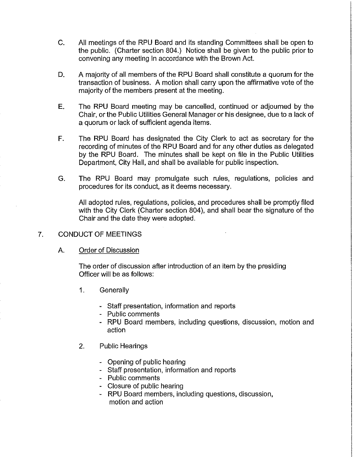- $C_{-}$ All meetings of the RPU Board and its standing Committees shall be open to the public. (Charter section 804.) Notice shall be given to the public prior to convening any meeting in accordance with the Brown Act.
- A majority of all members of the RPU Board shall constitute a quorum for the D. transaction of business. A motion shall carry upon the affirmative vote of the majority of the members present at the meeting.
- E. The RPU Board meeting may be cancelled, continued or adjourned by the Chair, or the Public Utilities General Manager or his designee, due to a lack of a quorum or lack of sufficient agenda items.
- F. The RPU Board has designated the City Clerk to act as secretary for the recording of minutes of the RPU Board and for any other duties as delegated by the RPU Board. The minutes shall be kept on file in the Public Utilities Department, City Hall, and shall be available for public inspection.
- G. The RPU Board may promulgate such rules, regulations, policies and procedures for its conduct, as it deems necessary.

All adopted rules, regulations, policies, and procedures shall be promptly filed with the City Clerk (Charter section 804), and shall bear the signature of the Chair and the date they were adopted.

- 7. **CONDUCT OF MEETINGS** 
	- A. **Order of Discussion**

The order of discussion after introduction of an item by the presiding Officer will be as follows:

- 1. Generally
	- Staff presentation, information and reports
	- Public comments
	- RPU Board members, including questions, discussion, motion and action
- $2.$ **Public Hearings** 
	- Opening of public hearing
	- Staff presentation, information and reports
	- Public comments
	- Closure of public hearing
	- RPU Board members, including questions, discussion, motion and action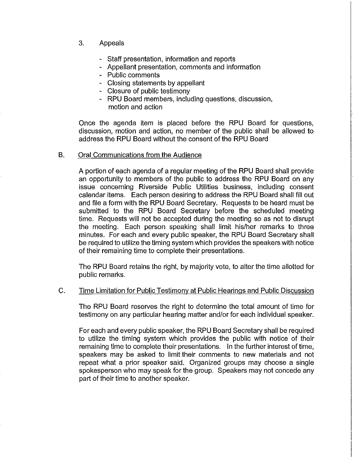- 3. Appeals
	- Staff presentation, information and reports
	- Appellant presentation, comments and information
	- Public comments
	- Closing statements by appellant
	- Closure of public testimony
	- RPU Board members, including questions, discussion, motion and action

Once the agenda item is placed before the RPU Board for questions, discussion, motion and action, no member of the public shall be allowed to address the RPU Board without the consent of the RPU Board

### **B.** Oral Communications from the Audience

A portion of each agenda of a regular meeting of the RPU Board shall provide an opportunity to members of the public to address the RPU Board on any issue concerning Riverside Public Utilities business, including consent calendar items. Each person desiring to address the RPU Board shall fill out and file a form with the RPU Board Secretary. Requests to be heard must be submitted to the RPU Board Secretary before the scheduled meeting time. Requests will not be accepted during the meeting so as not to disrupt the meeting. Each person speaking shall limit his/her remarks to three minutes. For each and every public speaker, the RPU Board Secretary shall be required to utilize the timing system which provides the speakers with notice of their remaining time to complete their presentations.

The RPU Board retains the right, by majority vote, to alter the time allotted for public remarks.

### $C_{\cdot}$ Time Limitation for Public Testimony at Public Hearings and Public Discussion

The RPU Board reserves the right to determine the total amount of time for testimony on any particular hearing matter and/or for each individual speaker.

For each and every public speaker, the RPU Board Secretary shall be required to utilize the timing system which provides the public with notice of their remaining time to complete their presentations. In the further interest of time, speakers may be asked to limit their comments to new materials and not repeat what a prior speaker said. Organized groups may choose a single spokesperson who may speak for the group. Speakers may not concede any part of their time to another speaker.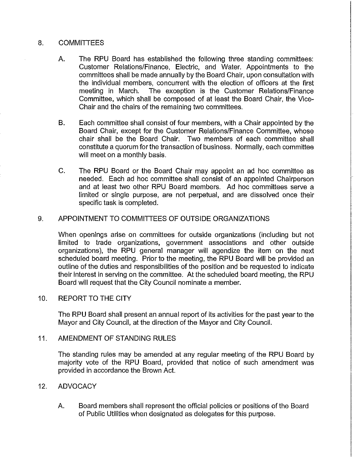### 8. **COMMITTEES**

- Α. The RPU Board has established the following three standing committees: Customer Relations/Finance, Electric, and Water. Appointments to the committees shall be made annually by the Board Chair, upon consultation with the individual members, concurrent with the election of officers at the first meeting in March. The exception is the Customer Relations/Finance Committee, which shall be composed of at least the Board Chair, the Vice-Chair and the chairs of the remaining two committees.
- **B.** Each committee shall consist of four members, with a Chair appointed by the Board Chair, except for the Customer Relations/Finance Committee. whose chair shall be the Board Chair. Two members of each committee shall constitute a quorum for the transaction of business. Normally, each committee will meet on a monthly basis.
- $C_{\cdot}$ The RPU Board or the Board Chair may appoint an ad hoc committee as needed. Each ad hoc committee shall consist of an appointed Chairperson and at least two other RPU Board members. Ad hoc committees serve a limited or single purpose, are not perpetual, and are dissolved once their specific task is completed.

### APPOINTMENT TO COMMITTEES OF OUTSIDE ORGANIZATIONS  $9.$

When openings arise on committees for outside organizations (including but not limited to trade organizations, government associations and other outside organizations), the RPU general manager will agendize the item on the next scheduled board meeting. Prior to the meeting, the RPU Board will be provided an outline of the duties and responsibilities of the position and be requested to indicate their interest in serving on the committee. At the scheduled board meeting, the RPU Board will request that the City Council nominate a member.

### **REPORT TO THE CITY**  $10.$

The RPU Board shall present an annual report of its activities for the past year to the Mayor and City Council, at the direction of the Mayor and City Council.

### $11<sub>1</sub>$ AMENDMENT OF STANDING RULES

The standing rules may be amended at any regular meeting of the RPU Board by majority vote of the RPU Board, provided that notice of such amendment was provided in accordance the Brown Act.

### **ADVOCACY**  $12.$

Board members shall represent the official policies or positions of the Board Α. of Public Utilities when designated as delegates for this purpose.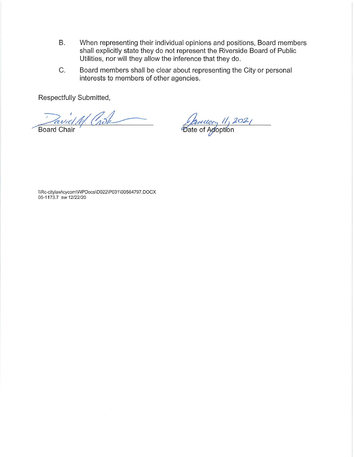- **B.** When representing their individual opinions and positions, Board members shall explicitly state they do not represent the Riverside Board of Public Utilities, nor will they allow the inference that they do.
- C. Board members shall be clear about representing the City or personal interests to members of other agencies.

Respectfully Submitted,

rel 11. Crock

**Board Chair** 

January 11, 2021

\\Rc-citylaw\cycom\WPDocs\D022\P031\00564797.DOCX 05-1173.7 sw 12/22/20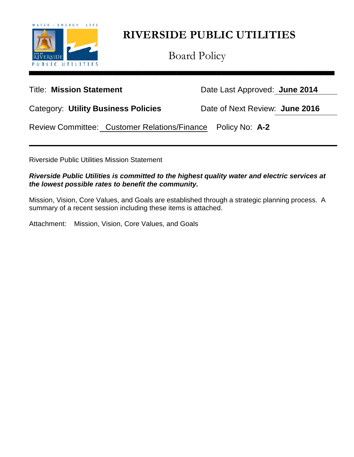

Board Policy

Title: **Mission Statement** Date Last Approved: **June 2014**

Category: **Utility Business Policies** Date of Next Review: **June 2016**

Review Committee: Customer Relations/Finance Policy No: **A-2**

Riverside Public Utilities Mission Statement

*Riverside Public Utilities is committed to the highest quality water and electric services at the lowest possible rates to benefit the community.*

Mission, Vision, Core Values, and Goals are established through a strategic planning process. A summary of a recent session including these items is attached.

Attachment: Mission, Vision, Core Values, and Goals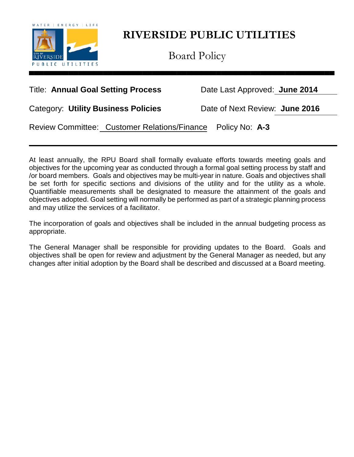

Board Policy

## Title: **Annual Goal Setting Process** Date Last Approved: **June 2014**

Category: **Utility Business Policies** Date of Next Review: **June 2016**

Review Committee: Customer Relations/Finance Policy No: **A-3**

At least annually, the RPU Board shall formally evaluate efforts towards meeting goals and objectives for the upcoming year as conducted through a formal goal setting process by staff and /or board members. Goals and objectives may be multi-year in nature. Goals and objectives shall be set forth for specific sections and divisions of the utility and for the utility as a whole. Quantifiable measurements shall be designated to measure the attainment of the goals and objectives adopted. Goal setting will normally be performed as part of a strategic planning process and may utilize the services of a facilitator.

The incorporation of goals and objectives shall be included in the annual budgeting process as appropriate.

The General Manager shall be responsible for providing updates to the Board. Goals and objectives shall be open for review and adjustment by the General Manager as needed, but any changes after initial adoption by the Board shall be described and discussed at a Board meeting.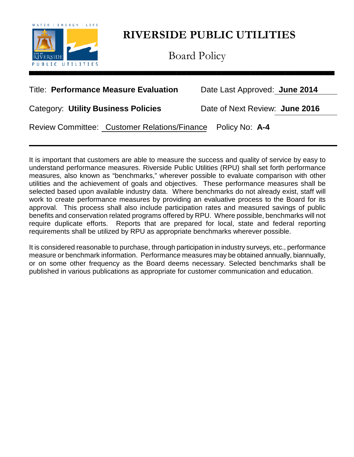

Board Policy

## Title: **Performance Measure Evaluation** Date Last Approved: **June 2014**

Category: **Utility Business Policies** Date of Next Review: **June 2016**

Review Committee: Customer Relations/Finance Policy No: **A-4**

It is important that customers are able to measure the success and quality of service by easy to understand performance measures. Riverside Public Utilities (RPU) shall set forth performance measures, also known as "benchmarks," wherever possible to evaluate comparison with other utilities and the achievement of goals and objectives. These performance measures shall be selected based upon available industry data. Where benchmarks do not already exist, staff will work to create performance measures by providing an evaluative process to the Board for its approval. This process shall also include participation rates and measured savings of public benefits and conservation related programs offered by RPU. Where possible, benchmarks will not require duplicate efforts. Reports that are prepared for local, state and federal reporting requirements shall be utilized by RPU as appropriate benchmarks wherever possible.

It is considered reasonable to purchase, through participation in industry surveys, etc., performance measure or benchmark information. Performance measures may be obtained annually, biannually, or on some other frequency as the Board deems necessary. Selected benchmarks shall be published in various publications as appropriate for customer communication and education.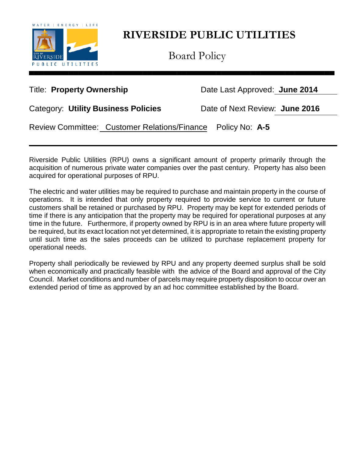

Board Policy

Title: **Property Ownership** Date Last Approved: June 2014

Category: **Utility Business Policies** Date of Next Review: **June 2016**

Review Committee: Customer Relations/Finance Policy No: **A-5**

Riverside Public Utilities (RPU) owns a significant amount of property primarily through the acquisition of numerous private water companies over the past century. Property has also been acquired for operational purposes of RPU.

The electric and water utilities may be required to purchase and maintain property in the course of operations. It is intended that only property required to provide service to current or future customers shall be retained or purchased by RPU. Property may be kept for extended periods of time if there is any anticipation that the property may be required for operational purposes at any time in the future. Furthermore, if property owned by RPU is in an area where future property will be required, but its exact location not yet determined, it is appropriate to retain the existing property until such time as the sales proceeds can be utilized to purchase replacement property for operational needs.

Property shall periodically be reviewed by RPU and any property deemed surplus shall be sold when economically and practically feasible with the advice of the Board and approval of the City Council. Market conditions and number of parcels may require property disposition to occur over an extended period of time as approved by an ad hoc committee established by the Board.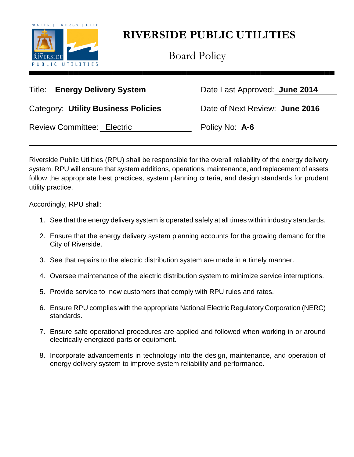

Board Policy

Title: **Energy Delivery System** Date Last Approved: **June 2014**

Category: **Utility Business Policies** Date of Next Review: **June 2016**

Review Committee: Electric **Policy No: A-6** 

Riverside Public Utilities (RPU) shall be responsible for the overall reliability of the energy delivery system. RPU will ensure that system additions, operations, maintenance, and replacement of assets follow the appropriate best practices, system planning criteria, and design standards for prudent utility practice.

Accordingly, RPU shall:

- 1. See that the energy delivery system is operated safely at all times within industry standards.
- 2. Ensure that the energy delivery system planning accounts for the growing demand for the City of Riverside.
- 3. See that repairs to the electric distribution system are made in a timely manner.
- 4. Oversee maintenance of the electric distribution system to minimize service interruptions.
- 5. Provide service to new customers that comply with RPU rules and rates.
- 6. Ensure RPU complies with the appropriate National Electric Regulatory Corporation (NERC) standards.
- 7. Ensure safe operational procedures are applied and followed when working in or around electrically energized parts or equipment.
- 8. Incorporate advancements in technology into the design, maintenance, and operation of energy delivery system to improve system reliability and performance.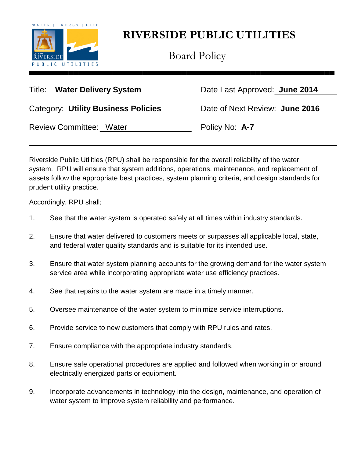

Board Policy

Title: **Water Delivery System** Date Last Approved: **June 2014**

Category: **Utility Business Policies** Date of Next Review: **June 2016**

Review Committee: Water **Policy No: A-7** 

Riverside Public Utilities (RPU) shall be responsible for the overall reliability of the water system. RPU will ensure that system additions, operations, maintenance, and replacement of assets follow the appropriate best practices, system planning criteria, and design standards for prudent utility practice.

Accordingly, RPU shall;

- 1. See that the water system is operated safely at all times within industry standards.
- 2. Ensure that water delivered to customers meets or surpasses all applicable local, state, and federal water quality standards and is suitable for its intended use.
- 3. Ensure that water system planning accounts for the growing demand for the water system service area while incorporating appropriate water use efficiency practices.
- 4. See that repairs to the water system are made in a timely manner.
- 5. Oversee maintenance of the water system to minimize service interruptions.
- 6. Provide service to new customers that comply with RPU rules and rates.
- 7. Ensure compliance with the appropriate industry standards.
- 8. Ensure safe operational procedures are applied and followed when working in or around electrically energized parts or equipment.
- 9. Incorporate advancements in technology into the design, maintenance, and operation of water system to improve system reliability and performance.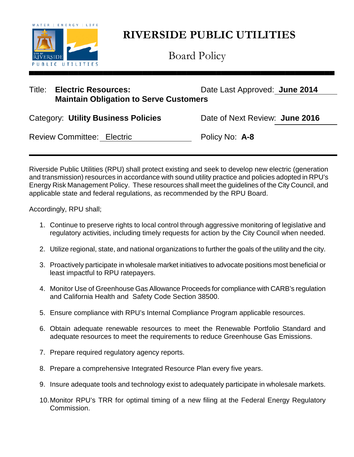

Board Policy

| Title: | <b>Electric Resources:</b>                    | Date Last Approved: June 2014 |
|--------|-----------------------------------------------|-------------------------------|
|        | <b>Maintain Obligation to Serve Customers</b> |                               |

| <b>Category: Utility Business Policies</b> | Date of Next Review: June 2016 |  |
|--------------------------------------------|--------------------------------|--|
| <b>Review Committee: Electric</b>          | Policy No: A-8                 |  |

Riverside Public Utilities (RPU) shall protect existing and seek to develop new electric (generation and transmission) resources in accordance with sound utility practice and policies adopted in RPU's Energy Risk Management Policy. These resources shall meet the guidelines of the City Council, and applicable state and federal regulations, as recommended by the RPU Board.

Accordingly, RPU shall;

- 1. Continue to preserve rights to local control through aggressive monitoring of legislative and regulatory activities, including timely requests for action by the City Council when needed.
- 2. Utilize regional, state, and national organizations to further the goals of the utility and the city.
- 3. Proactively participate in wholesale market initiatives to advocate positions most beneficial or least impactful to RPU ratepayers.
- 4. Monitor Use of Greenhouse Gas Allowance Proceeds for compliance with CARB's regulation and California Health and Safety Code Section 38500.
- 5. Ensure compliance with RPU's Internal Compliance Program applicable resources.
- 6. Obtain adequate renewable resources to meet the Renewable Portfolio Standard and adequate resources to meet the requirements to reduce Greenhouse Gas Emissions.
- 7. Prepare required regulatory agency reports.
- 8. Prepare a comprehensive Integrated Resource Plan every five years.
- 9. Insure adequate tools and technology exist to adequately participate in wholesale markets.
- 10.Monitor RPU's TRR for optimal timing of a new filing at the Federal Energy Regulatory Commission.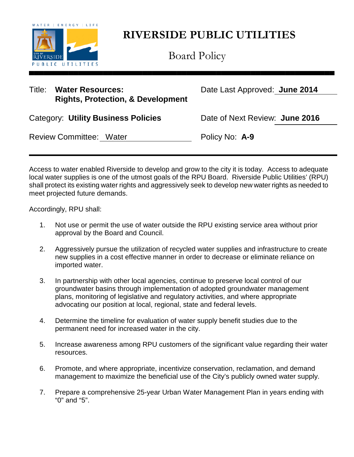

Board Policy

## Title: **Water Resources:** Date Last Approved: **June 2014 Rights, Protection, & Development**

| Category: Utility Business Policies | Date of Next Review: June 2016 |  |
|-------------------------------------|--------------------------------|--|
|                                     |                                |  |

Review Committee: Water **Policy No: A-9** 

Access to water enabled Riverside to develop and grow to the city it is today. Access to adequate local water supplies is one of the utmost goals of the RPU Board. Riverside Public Utilities' (RPU) shall protect its existing water rights and aggressively seek to develop new water rights as needed to meet projected future demands.

Accordingly, RPU shall:

- 1. Not use or permit the use of water outside the RPU existing service area without prior approval by the Board and Council.
- 2. Aggressively pursue the utilization of recycled water supplies and infrastructure to create new supplies in a cost effective manner in order to decrease or eliminate reliance on imported water.
- 3. In partnership with other local agencies, continue to preserve local control of our groundwater basins through implementation of adopted groundwater management plans, monitoring of legislative and regulatory activities, and where appropriate advocating our position at local, regional, state and federal levels.
- 4. Determine the timeline for evaluation of water supply benefit studies due to the permanent need for increased water in the city.
- 5. Increase awareness among RPU customers of the significant value regarding their water resources.
- 6. Promote, and where appropriate, incentivize conservation, reclamation, and demand management to maximize the beneficial use of the City's publicly owned water supply.
- 7. Prepare a comprehensive 25-year Urban Water Management Plan in years ending with "0" and "5".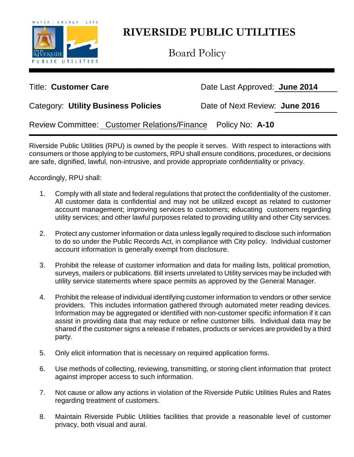

Board Policy

Title: **Customer Care Care** Date Last Approved: **June 2014** 

| Category: Utility Business Policies | Date of Next Review: June 2016 |  |
|-------------------------------------|--------------------------------|--|
|-------------------------------------|--------------------------------|--|

Review Committee: Customer Relations/Finance Policy No: **A-10**

Riverside Public Utilities (RPU) is owned by the people it serves. With respect to interactions with consumers or those applying to be customers, RPU shall ensure conditions, procedures, or decisions are safe, dignified, lawful, non-intrusive, and provide appropriate confidentiality or privacy.

Accordingly, RPU shall:

- 1. Comply with all state and federal regulations that protect the confidentiality of the customer. All customer data is confidential and may not be utilized except as related to customer account management; improving services to customers; educating customers regarding utility services; and other lawful purposes related to providing utility and other City services.
- 2. Protect any customer information or data unless legally required to disclose such information to do so under the Public Records Act, in compliance with City policy. Individual customer account information is generally exempt from disclosure.
- 3. Prohibit the release of customer information and data for mailing lists, political promotion, surveys, mailers or publications. Bill inserts unrelated to Utility services may be included with utility service statements where space permits as approved by the General Manager.
- 4. Prohibit the release of individual identifying customer information to vendors or other service providers. This includes information gathered through automated meter reading devices. Information may be aggregated or identified with non-customer specific information if it can assist in providing data that may reduce or refine customer bills. Individual data may be shared if the customer signs a release if rebates, products or services are provided by a third party.
- 5. Only elicit information that is necessary on required application forms.
- 6. Use methods of collecting, reviewing, transmitting, or storing client information that protect against improper access to such information.
- 7. Not cause or allow any actions in violation of the Riverside Public Utilities Rules and Rates regarding treatment of customers.
- 8. Maintain Riverside Public Utilities facilities that provide a reasonable level of customer privacy, both visual and aural.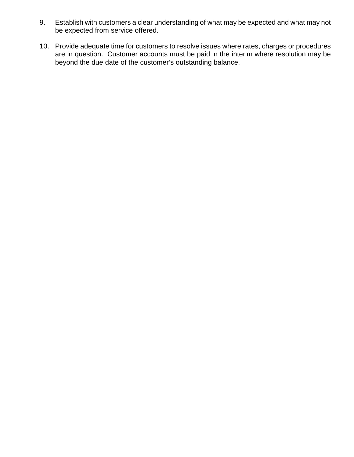- 9. Establish with customers a clear understanding of what may be expected and what may not be expected from service offered.
- 10. Provide adequate time for customers to resolve issues where rates, charges or procedures are in question. Customer accounts must be paid in the interim where resolution may be beyond the due date of the customer's outstanding balance.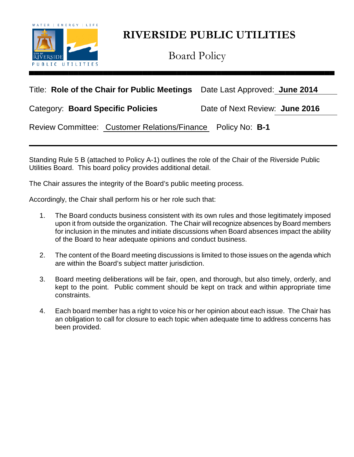

Board Policy

## Title: **Role of the Chair for Public Meetings** Date Last Approved: **June 2014**

Category: **Board Specific Policies** Date of Next Review: **June 2016**

Review Committee: Customer Relations/Finance Policy No: **B-1**

Standing Rule 5 B (attached to Policy A-1) outlines the role of the Chair of the Riverside Public Utilities Board. This board policy provides additional detail.

The Chair assures the integrity of the Board's public meeting process.

Accordingly, the Chair shall perform his or her role such that:

- 1. The Board conducts business consistent with its own rules and those legitimately imposed upon it from outside the organization. The Chair will recognize absences by Board members for inclusion in the minutes and initiate discussions when Board absences impact the ability of the Board to hear adequate opinions and conduct business.
- 2. The content of the Board meeting discussions is limited to those issues on the agenda which are within the Board's subject matter jurisdiction.
- 3. Board meeting deliberations will be fair, open, and thorough, but also timely, orderly, and kept to the point. Public comment should be kept on track and within appropriate time constraints.
- 4. Each board member has a right to voice his or her opinion about each issue. The Chair has an obligation to call for closure to each topic when adequate time to address concerns has been provided.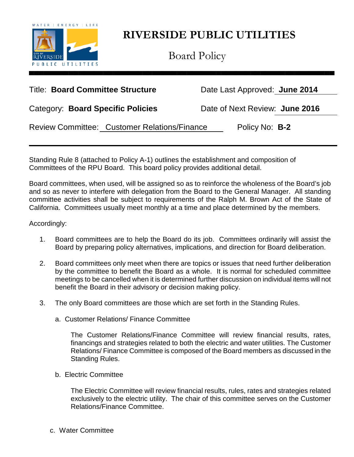

Board Policy

## Title: **Board Committee Structure** Date Last Approved: **June 2014**

Category: **Board Specific Policies** Date of Next Review: **June 2016**

Review Committee: Customer Relations/Finance Policy No: **B-2** 

Standing Rule 8 (attached to Policy A-1) outlines the establishment and composition of Committees of the RPU Board. This board policy provides additional detail.

Board committees, when used, will be assigned so as to reinforce the wholeness of the Board's job and so as never to interfere with delegation from the Board to the General Manager. All standing committee activities shall be subject to requirements of the Ralph M. Brown Act of the State of California. Committees usually meet monthly at a time and place determined by the members.

### Accordingly:

- 1. Board committees are to help the Board do its job. Committees ordinarily will assist the Board by preparing policy alternatives, implications, and direction for Board deliberation.
- 2. Board committees only meet when there are topics or issues that need further deliberation by the committee to benefit the Board as a whole. It is normal for scheduled committee meetings to be cancelled when it is determined further discussion on individual items will not benefit the Board in their advisory or decision making policy.
- 3. The only Board committees are those which are set forth in the Standing Rules.
	- a. Customer Relations/ Finance Committee

The Customer Relations/Finance Committee will review financial results, rates, financings and strategies related to both the electric and water utilities. The Customer Relations/ Finance Committee is composed of the Board members as discussed in the Standing Rules.

b. Electric Committee

The Electric Committee will review financial results, rules, rates and strategies related exclusively to the electric utility. The chair of this committee serves on the Customer Relations/Finance Committee.

c. Water Committee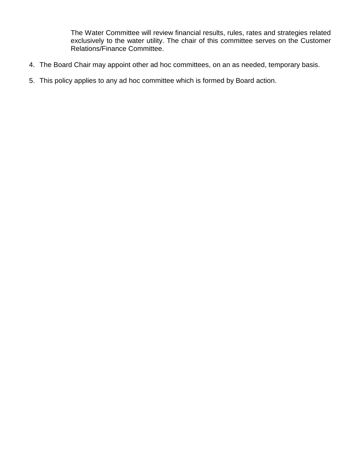The Water Committee will review financial results, rules, rates and strategies related exclusively to the water utility. The chair of this committee serves on the Customer Relations/Finance Committee.

- 4. The Board Chair may appoint other ad hoc committees, on an as needed, temporary basis.
- 5. This policy applies to any ad hoc committee which is formed by Board action.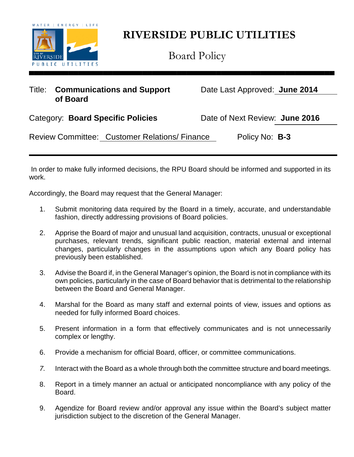

Board Policy

## Title: **Communications and Support** Date Last Approved: **June 2014 of Board**

Category: **Board Specific Policies** Date of Next Review: **June 2016**

Review Committee: Customer Relations/ Finance Policy No: **B-3** 

In order to make fully informed decisions, the RPU Board should be informed and supported in its work.

Accordingly, the Board may request that the General Manager:

- 1. Submit monitoring data required by the Board in a timely, accurate, and understandable fashion, directly addressing provisions of Board policies.
- 2. Apprise the Board of major and unusual land acquisition, contracts, unusual or exceptional purchases, relevant trends, significant public reaction, material external and internal changes, particularly changes in the assumptions upon which any Board policy has previously been established.
- 3. Advise the Board if, in the General Manager's opinion, the Board is not in compliance with its own policies, particularly in the case of Board behavior that is detrimental to the relationship between the Board and General Manager.
- 4. Marshal for the Board as many staff and external points of view, issues and options as needed for fully informed Board choices.
- 5. Present information in a form that effectively communicates and is not unnecessarily complex or lengthy.
- 6. Provide a mechanism for official Board, officer, or committee communications.
- *7.* Interact with the Board as a whole through both the committee structure and board meetings.
- 8. Report in a timely manner an actual or anticipated noncompliance with any policy of the Board.
- 9. Agendize for Board review and/or approval any issue within the Board's subject matter jurisdiction subject to the discretion of the General Manager.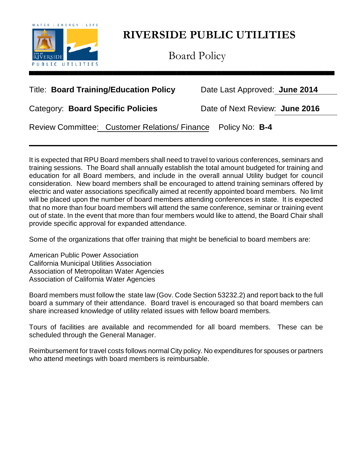

Board Policy

## Title: **Board Training/Education Policy** Date Last Approved: **June 2014**

Category: **Board Specific Policies** Date of Next Review: **June 2016**

Review Committee: Customer Relations/ Finance Policy No: **B-4**

It is expected that RPU Board members shall need to travel to various conferences, seminars and training sessions. The Board shall annually establish the total amount budgeted for training and education for all Board members, and include in the overall annual Utility budget for council consideration. New board members shall be encouraged to attend training seminars offered by electric and water associations specifically aimed at recently appointed board members. No limit will be placed upon the number of board members attending conferences in state. It is expected that no more than four board members will attend the same conference, seminar or training event out of state. In the event that more than four members would like to attend, the Board Chair shall provide specific approval for expanded attendance.

Some of the organizations that offer training that might be beneficial to board members are:

American Public Power Association California Municipal Utilities Association Association of Metropolitan Water Agencies Association of California Water Agencies

Board members must follow the state law (Gov. Code Section 53232.2) and report back to the full board a summary of their attendance. Board travel is encouraged so that board members can share increased knowledge of utility related issues with fellow board members.

Tours of facilities are available and recommended for all board members. These can be scheduled through the General Manager.

Reimbursement for travel costs follows normal City policy. No expenditures for spouses or partners who attend meetings with board members is reimbursable.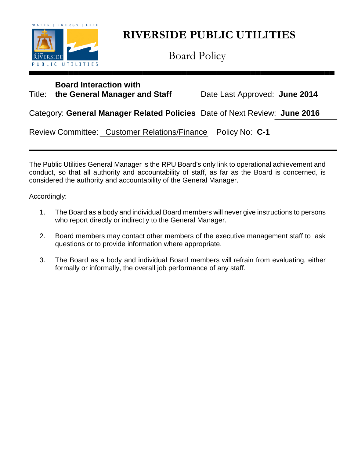

Board Policy

## **Board Interaction with**

Title: **the General Manager and Staff** Date Last Approved: **June 2014**

Category: **General Manager Related Policies** Date of Next Review: **June 2016**

Review Committee: Customer Relations/Finance Policy No: **C-1**

The Public Utilities General Manager is the RPU Board's only link to operational achievement and conduct, so that all authority and accountability of staff, as far as the Board is concerned, is considered the authority and accountability of the General Manager.

Accordingly:

- 1. The Board as a body and individual Board members will never give instructions to persons who report directly or indirectly to the General Manager.
- 2. Board members may contact other members of the executive management staff to ask questions or to provide information where appropriate.
- 3. The Board as a body and individual Board members will refrain from evaluating, either formally or informally, the overall job performance of any staff.